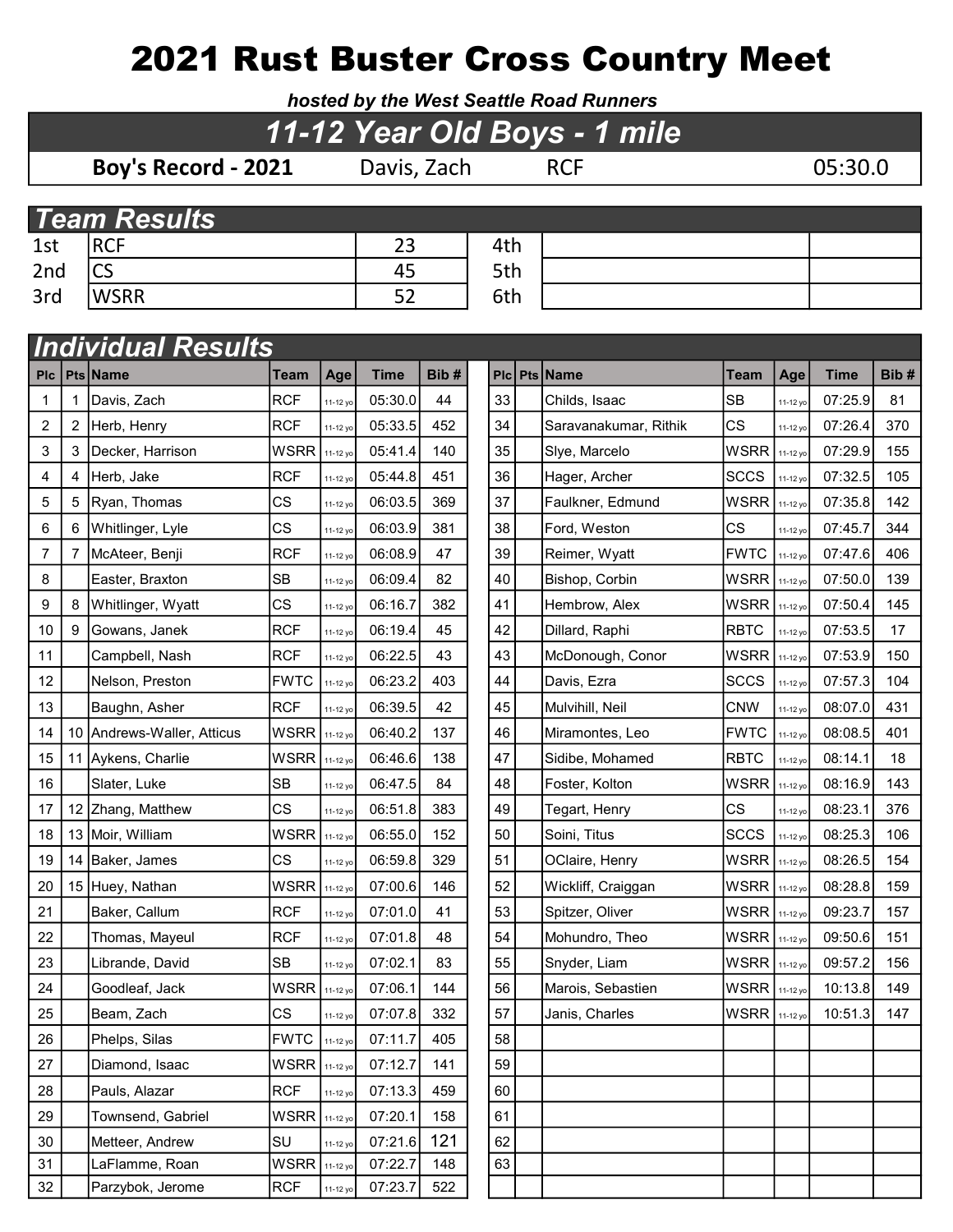## 2021 Rust Buster Cross Country Meet

hosted by the West Seattle Road Runners

| 11-12 Year Old Boys - 1 mile |   |                            |             |          |             |      |  |     |  |                       |             |          |             |      |
|------------------------------|---|----------------------------|-------------|----------|-------------|------|--|-----|--|-----------------------|-------------|----------|-------------|------|
|                              |   | Boy's Record - 2021        |             |          | Davis, Zach |      |  |     |  | <b>RCF</b>            |             |          | 05:30.0     |      |
|                              |   |                            |             |          |             |      |  |     |  |                       |             |          |             |      |
|                              |   | <b>Team Results</b>        |             |          |             |      |  |     |  |                       |             |          |             |      |
| 1st                          |   | <b>RCF</b>                 |             |          | 23          |      |  | 4th |  |                       |             |          |             |      |
| 2 <sub>nd</sub>              |   | $\mathsf{CS}\,$            |             |          | 45          |      |  | 5th |  |                       |             |          |             |      |
| 3rd                          |   | <b>WSRR</b>                |             |          | 52          |      |  | 6th |  |                       |             |          |             |      |
|                              |   |                            |             |          |             |      |  |     |  |                       |             |          |             |      |
| <b>Individual Results</b>    |   |                            |             |          |             |      |  |     |  |                       |             |          |             |      |
| <b>PIC</b>                   |   | Pts Name                   | Team        | Age      | <b>Time</b> | Bib# |  | PIc |  | <b>Pts Name</b>       | <b>Team</b> | Age      | <b>Time</b> | Bib# |
| 1                            |   | Davis, Zach                | <b>RCF</b>  | 11-12 yo | 05:30.0     | 44   |  | 33  |  | Childs, Isaac         | <b>SB</b>   | 11-12 yo | 07:25.9     | 81   |
| 2                            | 2 | Herb, Henry                | <b>RCF</b>  | 11-12 yo | 05:33.5     | 452  |  | 34  |  | Saravanakumar, Rithik | <b>CS</b>   | 11-12 yo | 07:26.4     | 370  |
| 3                            | 3 | Decker, Harrison           | <b>WSRR</b> | 11-12 yo | 05:41.4     | 140  |  | 35  |  | Slye, Marcelo         | <b>WSRR</b> | 11-12 yo | 07:29.9     | 155  |
| 4                            | 4 | Herb, Jake                 | <b>RCF</b>  | 11-12 yo | 05:44.8     | 451  |  | 36  |  | Hager, Archer         | <b>SCCS</b> | 11-12 yo | 07:32.5     | 105  |
| 5                            | 5 | Ryan, Thomas               | CS          | 11-12 yo | 06:03.5     | 369  |  | 37  |  | Faulkner, Edmund      | <b>WSRR</b> | 11-12 yo | 07:35.8     | 142  |
| 6                            | 6 | Whitlinger, Lyle           | CS          | 11-12 yo | 06:03.9     | 381  |  | 38  |  | Ford, Weston          | <b>CS</b>   | 11-12 yo | 07:45.7     | 344  |
| 7                            |   | McAteer, Benji             | <b>RCF</b>  | 11-12 yo | 06:08.9     | 47   |  | 39  |  | Reimer, Wyatt         | <b>FWTC</b> | 11-12 yo | 07:47.6     | 406  |
| 8                            |   | Easter, Braxton            | <b>SB</b>   | 11-12 yo | 06:09.4     | 82   |  | 40  |  | Bishop, Corbin        | <b>WSRR</b> | 11-12 yo | 07:50.0     | 139  |
| 9                            | 8 | Whitlinger, Wyatt          | CS          | 11-12 yo | 06:16.7     | 382  |  | 41  |  | Hembrow, Alex         | <b>WSRR</b> | 11-12 yo | 07:50.4     | 145  |
| 10                           | 9 | Gowans, Janek              | <b>RCF</b>  | 11-12 yo | 06:19.4     | 45   |  | 42  |  | Dillard, Raphi        | <b>RBTC</b> | 11-12 yo | 07:53.5     | 17   |
| 11                           |   | Campbell, Nash             | <b>RCF</b>  | 11-12 yo | 06:22.5     | 43   |  | 43  |  | McDonough, Conor      | <b>WSRR</b> | 11-12 yo | 07:53.9     | 150  |
| 12                           |   | Nelson, Preston            | <b>FWTC</b> | 11-12 yo | 06:23.2     | 403  |  | 44  |  | Davis, Ezra           | <b>SCCS</b> | 11-12 yo | 07:57.3     | 104  |
| 13                           |   | Baughn, Asher              | <b>RCF</b>  | 11-12 yo | 06:39.5     | 42   |  | 45  |  | Mulvihill, Neil       | <b>CNW</b>  | 11-12 yo | 08:07.0     | 431  |
| 14                           |   | 10 Andrews-Waller, Atticus | WSRR        | 11-12 yo | 06:40.2     | 137  |  | 46  |  | Miramontes, Leo       | <b>FWTC</b> | 11-12 yo | 08:08.5     | 401  |
| 15                           |   | 11 Aykens, Charlie         | <b>WSRR</b> | 11-12 yo | 06:46.6     | 138  |  | 47  |  | Sidibe, Mohamed       | <b>RBTC</b> | 11-12 yo | 08:14.1     | 18   |
| 16                           |   | Slater, Luke               | <b>SB</b>   | 11-12 yo | 06:47.5     | 84   |  | 48  |  | Foster, Kolton        | <b>WSRR</b> | 11-12 yo | 08:16.9     | 143  |
| 17                           |   | 12 Zhang, Matthew          | CS          | 11-12 yo | 06:51.8     | 383  |  | 49  |  | Tegart, Henry         | СS          | 11-12 yo | 08:23.1     | 376  |
| 18                           |   | 13 Moir, William           | <b>WSRR</b> | 11-12 yo | 06:55.0     | 152  |  | 50  |  | Soini, Titus          | <b>SCCS</b> | 11-12 yo | 08:25.3     | 106  |
| 19                           |   | 14 Baker, James            | <b>CS</b>   | 11-12 yo | 06:59.8     | 329  |  | 51  |  | OClaire, Henry        | <b>WSRR</b> | 11-12 yo | 08:26.5     | 154  |
| 20                           |   | 15 Huey, Nathan            | <b>WSRR</b> | 11-12 yo | 07:00.6     | 146  |  | 52  |  | Wickliff, Craiggan    | <b>WSRR</b> | 11-12 yo | 08:28.8     | 159  |
| 21                           |   | Baker, Callum              | <b>RCF</b>  | 11-12 yo | 07:01.0     | 41   |  | 53  |  | Spitzer, Oliver       | <b>WSRR</b> | 11-12 yo | 09:23.7     | 157  |
| 22                           |   | Thomas, Mayeul             | <b>RCF</b>  | 11-12 yo | 07:01.8     | 48   |  | 54  |  | Mohundro, Theo        | WSRR        | 11-12 yo | 09:50.6     | 151  |
| 23                           |   | Librande, David            | SB          | 11-12 yo | 07:02.1     | 83   |  | 55  |  | Snyder, Liam          | <b>WSRR</b> | 11-12 yo | 09:57.2     | 156  |
| 24                           |   | Goodleaf, Jack             | <b>WSRR</b> | 11-12 yo | 07:06.1     | 144  |  | 56  |  | Marois, Sebastien     | <b>WSRR</b> | 11-12 yo | 10:13.8     | 149  |
| 25                           |   | Beam, Zach                 | CS          | 11-12 yo | 07:07.8     | 332  |  | 57  |  | Janis, Charles        | <b>WSRR</b> | 11-12 yo | 10:51.3     | 147  |
| 26                           |   | Phelps, Silas              | <b>FWTC</b> | 11-12 yo | 07:11.7     | 405  |  | 58  |  |                       |             |          |             |      |
| 27                           |   | Diamond, Isaac             | <b>WSRR</b> | 11-12 yo | 07:12.7     | 141  |  | 59  |  |                       |             |          |             |      |
| 28                           |   | Pauls, Alazar              | <b>RCF</b>  | 11-12 yo | 07:13.3     | 459  |  | 60  |  |                       |             |          |             |      |
| 29                           |   | Townsend, Gabriel          | WSRR        | 11-12 yo | 07:20.1     | 158  |  | 61  |  |                       |             |          |             |      |
| 30                           |   | Metteer, Andrew            | SU          | 11-12 yo | 07:21.6     | 121  |  | 62  |  |                       |             |          |             |      |
| 31                           |   | LaFlamme, Roan             | <b>WSRR</b> | 11-12 yo | 07:22.7     | 148  |  | 63  |  |                       |             |          |             |      |
| 32                           |   | Parzybok, Jerome           | <b>RCF</b>  | 11-12 yo | 07:23.7     | 522  |  |     |  |                       |             |          |             |      |